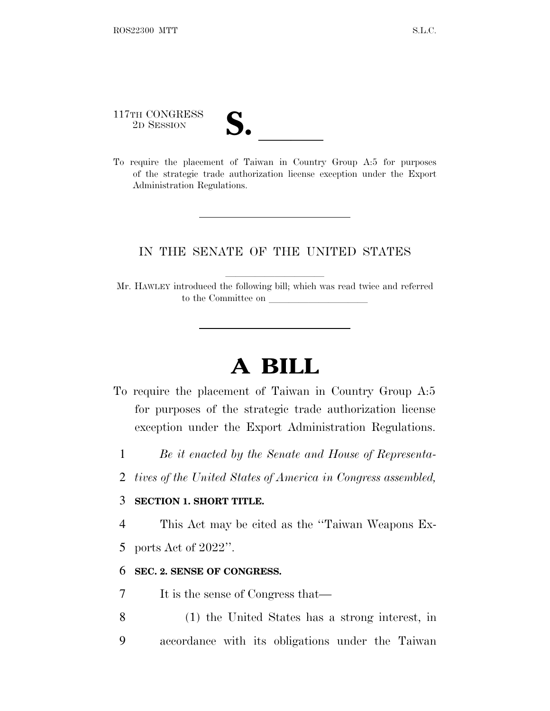117TH CONGRESS 117TH CONGRESS<br>
2D SESSION<br>
To require the placement of Taiwan in Country Group A:5 for purposes

of the strategic trade authorization license exception under the Export Administration Regulations.

## IN THE SENATE OF THE UNITED STATES

Mr. HAWLEY introduced the following bill; which was read twice and referred to the Committee on

## **A BILL**

- To require the placement of Taiwan in Country Group A:5 for purposes of the strategic trade authorization license exception under the Export Administration Regulations.
	- 1 *Be it enacted by the Senate and House of Representa-*
	- 2 *tives of the United States of America in Congress assembled,*

## 3 **SECTION 1. SHORT TITLE.**

4 This Act may be cited as the ''Taiwan Weapons Ex-

5 ports Act of 2022''.

## 6 **SEC. 2. SENSE OF CONGRESS.**

7 It is the sense of Congress that—

8 (1) the United States has a strong interest, in 9 accordance with its obligations under the Taiwan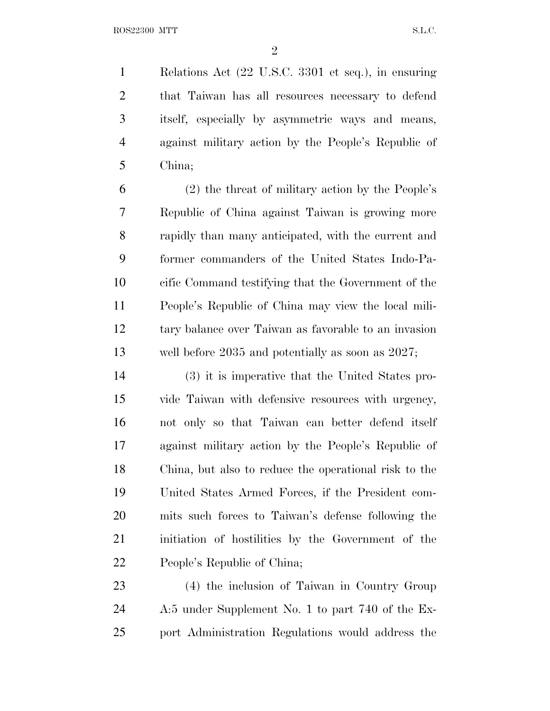Relations Act (22 U.S.C. 3301 et seq.), in ensuring that Taiwan has all resources necessary to defend itself, especially by asymmetric ways and means, against military action by the People's Republic of China;

 (2) the threat of military action by the People's Republic of China against Taiwan is growing more rapidly than many anticipated, with the current and former commanders of the United States Indo-Pa- cific Command testifying that the Government of the People's Republic of China may view the local mili- tary balance over Taiwan as favorable to an invasion well before 2035 and potentially as soon as 2027;

 (3) it is imperative that the United States pro- vide Taiwan with defensive resources with urgency, not only so that Taiwan can better defend itself against military action by the People's Republic of China, but also to reduce the operational risk to the United States Armed Forces, if the President com- mits such forces to Taiwan's defense following the initiation of hostilities by the Government of the People's Republic of China;

 (4) the inclusion of Taiwan in Country Group A:5 under Supplement No. 1 to part 740 of the Ex-port Administration Regulations would address the